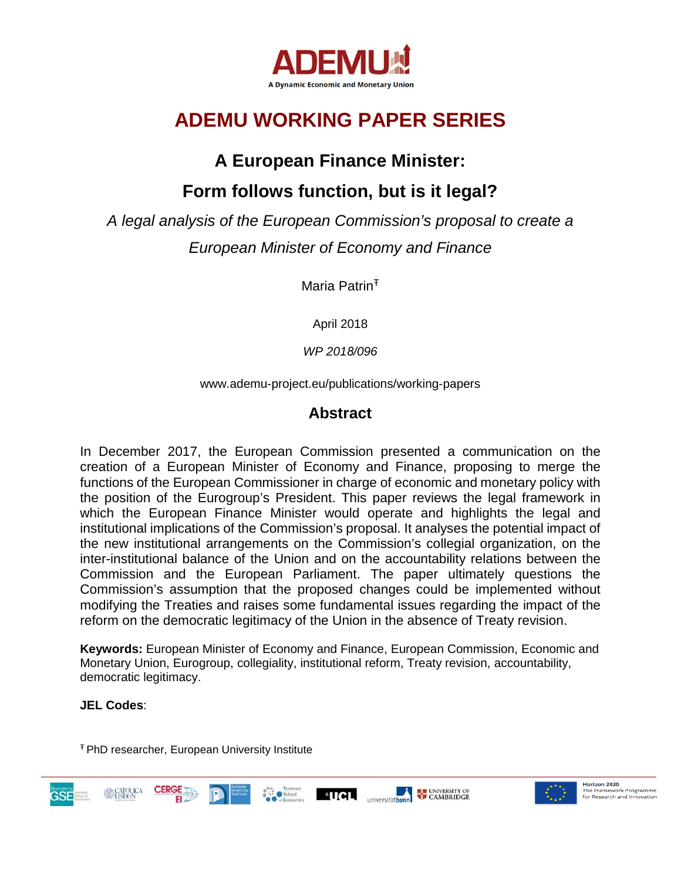

# **ADEMU WORKING PAPER SERIES**

## **A European Finance Minister:**

## **Form follows function, but is it legal?**

*A legal analysis of the European Commission's proposal to create a European Minister of Economy and Finance*

Maria Patrin<sup>T</sup>

April 2018

*WP 2018/096* 

www.ademu-project.eu/publications/working-papers

### **Abstract**

In December 2017, the European Commission presented a communication on the creation of a European Minister of Economy and Finance, proposing to merge the functions of the European Commissioner in charge of economic and monetary policy with the position of the Eurogroup's President. This paper reviews the legal framework in which the European Finance Minister would operate and highlights the legal and institutional implications of the Commission's proposal. It analyses the potential impact of the new institutional arrangements on the Commission's collegial organization, on the inter-institutional balance of the Union and on the accountability relations between the Commission and the European Parliament. The paper ultimately questions the Commission's assumption that the proposed changes could be implemented without modifying the Treaties and raises some fundamental issues regarding the impact of the reform on the democratic legitimacy of the Union in the absence of Treaty revision.

**Keywords:** European Minister of Economy and Finance, European Commission, Economic and Monetary Union, Eurogroup, collegiality, institutional reform, Treaty revision, accountability, democratic legitimacy.

### **JEL Codes**:

<sup>Ŧ</sup> PhD researcher, European University Institute

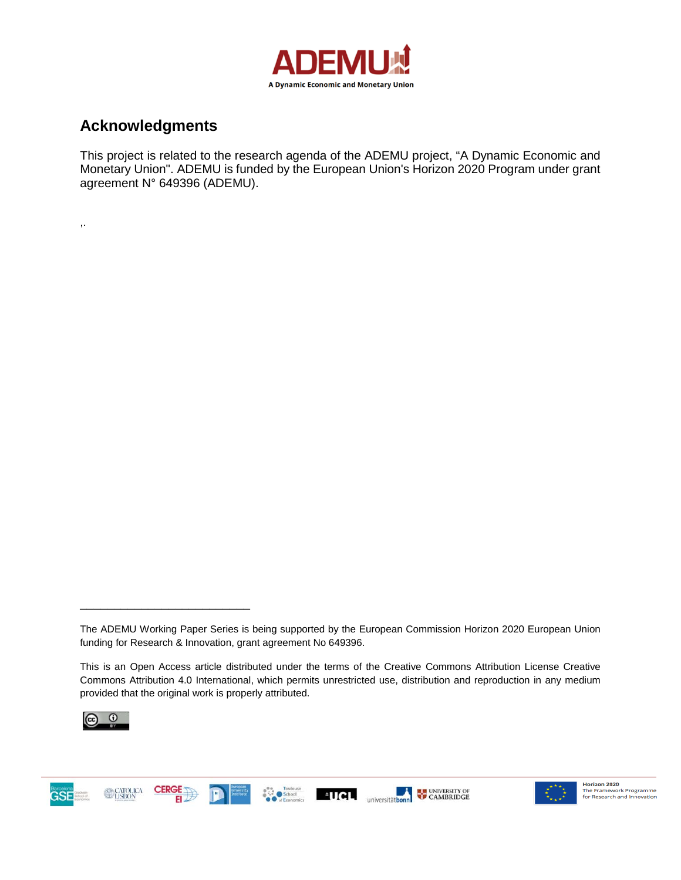

### **Acknowledgments**

,.

This project is related to the research agenda of the ADEMU project, "A Dynamic Economic and Monetary Union". ADEMU is funded by the European Union's Horizon 2020 Program under grant agreement N° 649396 (ADEMU).

This is an Open Access article distributed under the terms of the Creative Commons Attribution License Creative Commons Attribution 4.0 International, which permits unrestricted use, distribution and reproduction in any medium provided that the original work is properly attributed.



\_\_\_\_\_\_\_\_\_\_\_\_\_\_\_\_\_\_\_\_\_\_\_\_\_







The ADEMU Working Paper Series is being supported by the European Commission Horizon 2020 European Union funding for Research & Innovation, grant agreement No 649396.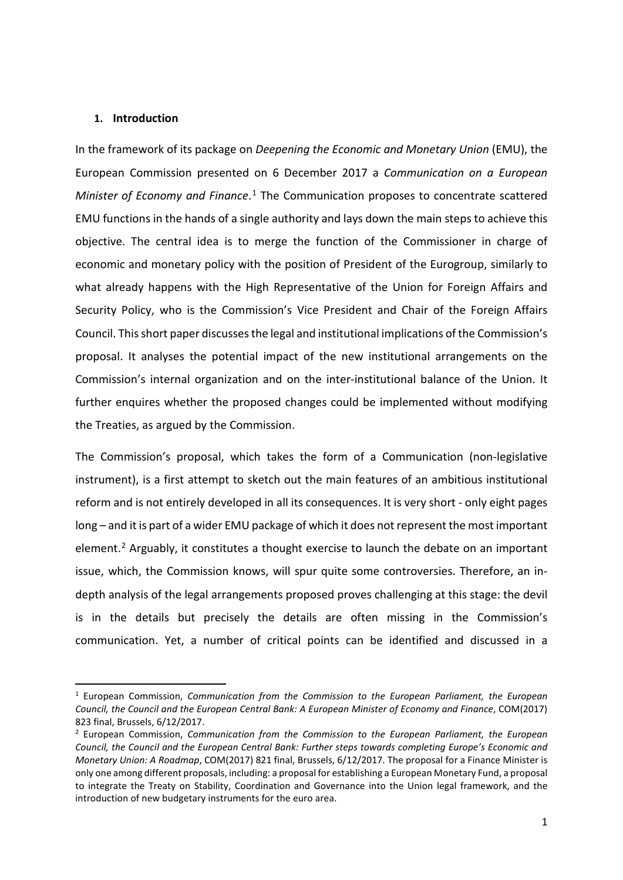#### **1. Introduction**

In the framework of its package on *Deepening the Economic and Monetary Union* (EMU), the European Commission presented on 6 December 2017 a *Communication on a European Minister of Economy and Finance*. [1](#page-2-0) The Communication proposes to concentrate scattered EMU functions in the hands of a single authority and lays down the main steps to achieve this objective. The central idea is to merge the function of the Commissioner in charge of economic and monetary policy with the position of President of the Eurogroup, similarly to what already happens with the High Representative of the Union for Foreign Affairs and Security Policy, who is the Commission's Vice President and Chair of the Foreign Affairs Council. This short paper discusses the legal and institutional implications of the Commission's proposal. It analyses the potential impact of the new institutional arrangements on the Commission's internal organization and on the inter-institutional balance of the Union. It further enquires whether the proposed changes could be implemented without modifying the Treaties, as argued by the Commission.

The Commission's proposal, which takes the form of a Communication (non-legislative instrument), is a first attempt to sketch out the main features of an ambitious institutional reform and is not entirely developed in all its consequences. It is very short - only eight pages long – and it is part of a wider EMU package of which it does not represent the most important element.<sup>[2](#page-2-1)</sup> Arguably, it constitutes a thought exercise to launch the debate on an important issue, which, the Commission knows, will spur quite some controversies. Therefore, an indepth analysis of the legal arrangements proposed proves challenging at this stage: the devil is in the details but precisely the details are often missing in the Commission's communication. Yet, a number of critical points can be identified and discussed in a

<span id="page-2-0"></span> <sup>1</sup> European Commission, *Communication from the Commission to the European Parliament, the European Council, the Council and the European Central Bank: A European Minister of Economy and Finance*, COM(2017) 823 final, Brussels, 6/12/2017.

<span id="page-2-1"></span><sup>2</sup> European Commission, *Communication from the Commission to the European Parliament, the European Council, the Council and the European Central Bank: Further steps towards completing Europe's Economic and Monetary Union: A Roadmap*, COM(2017) 821 final, Brussels, 6/12/2017. The proposal for a Finance Minister is only one among different proposals, including: a proposal for establishing a European Monetary Fund, a proposal to integrate the Treaty on Stability, Coordination and Governance into the Union legal framework, and the introduction of new budgetary instruments for the euro area.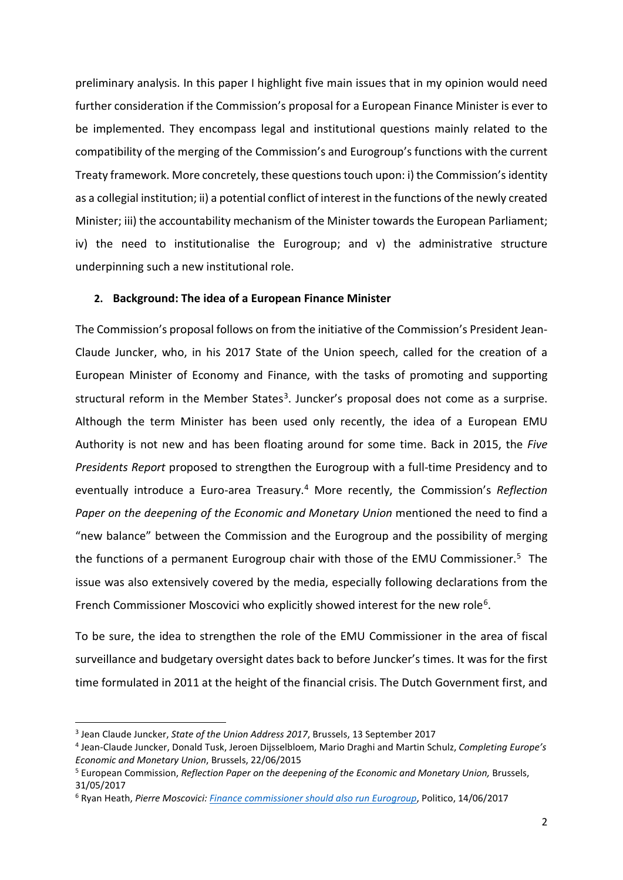preliminary analysis. In this paper I highlight five main issues that in my opinion would need further consideration if the Commission's proposal for a European Finance Minister is ever to be implemented. They encompass legal and institutional questions mainly related to the compatibility of the merging of the Commission's and Eurogroup's functions with the current Treaty framework. More concretely, these questions touch upon: i) the Commission's identity as a collegial institution; ii) a potential conflict of interest in the functions of the newly created Minister; iii) the accountability mechanism of the Minister towards the European Parliament; iv) the need to institutionalise the Eurogroup; and v) the administrative structure underpinning such a new institutional role.

### **2. Background: The idea of a European Finance Minister**

The Commission's proposal follows on from the initiative of the Commission's President Jean-Claude Juncker, who, in his 2017 State of the Union speech, called for the creation of a European Minister of Economy and Finance, with the tasks of promoting and supporting structural reform in the Member States<sup>3</sup>. Juncker's proposal does not come as a surprise. Although the term Minister has been used only recently, the idea of a European EMU Authority is not new and has been floating around for some time. Back in 2015, the *Five Presidents Report* proposed to strengthen the Eurogroup with a full-time Presidency and to eventually introduce a Euro-area Treasury.[4](#page-3-1) More recently, the Commission's *Reflection Paper on the deepening of the Economic and Monetary Union* mentioned the need to find a "new balance" between the Commission and the Eurogroup and the possibility of merging the functions of a permanent Eurogroup chair with those of the EMU Commissioner.<sup>[5](#page-3-2)</sup> The issue was also extensively covered by the media, especially following declarations from the French Commissioner Moscovici who explicitly showed interest for the new role<sup>[6](#page-3-3)</sup>.

To be sure, the idea to strengthen the role of the EMU Commissioner in the area of fiscal surveillance and budgetary oversight dates back to before Juncker's times. It was for the first time formulated in 2011 at the height of the financial crisis. The Dutch Government first, and

<span id="page-3-0"></span> <sup>3</sup> Jean Claude Juncker, *State of the Union Address 2017*, Brussels, 13 September 2017

<span id="page-3-1"></span><sup>4</sup> Jean-Claude Juncker, Donald Tusk, Jeroen Dijsselbloem, Mario Draghi and Martin Schulz, *Completing Europe's Economic and Monetary Union*, Brussels, 22/06/2015

<span id="page-3-2"></span><sup>5</sup> European Commission, *Reflection Paper on the deepening of the Economic and Monetary Union,* Brussels, 31/05/2017

<span id="page-3-3"></span><sup>6</sup> Ryan Heath, *Pierre Moscovici[: Finance commissioner should also run Eurogroup](https://www.politico.eu/article/pierre-moscovici-finance-commissioner-should-run-eurogroup-eu-confidential-ryan-heath/)*, Politico, 14/06/2017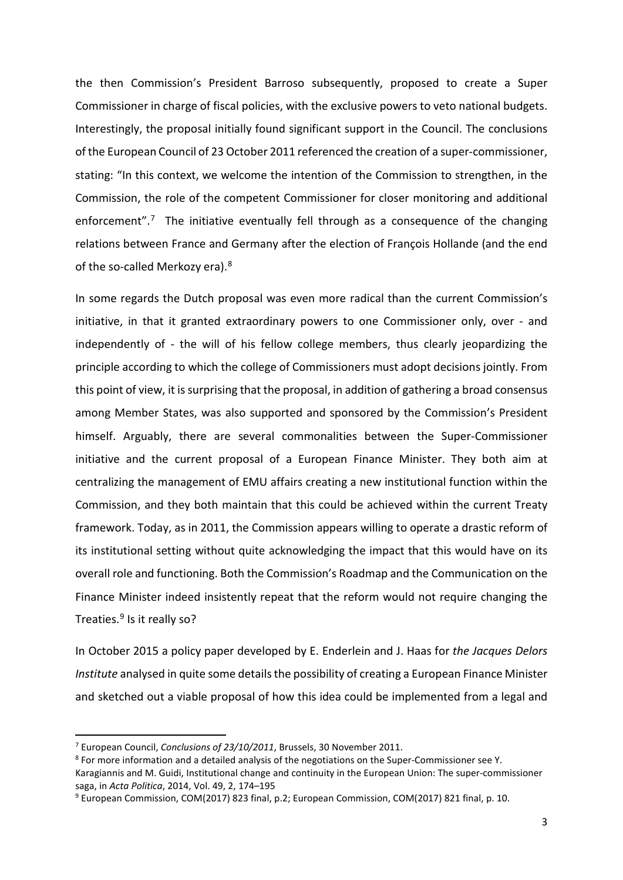the then Commission's President Barroso subsequently, proposed to create a Super Commissioner in charge of fiscal policies, with the exclusive powers to veto national budgets. Interestingly, the proposal initially found significant support in the Council. The conclusions of the European Council of 23 October 2011 referenced the creation of a super-commissioner, stating: "In this context, we welcome the intention of the Commission to strengthen, in the Commission, the role of the competent Commissioner for closer monitoring and additional enforcement".<sup>[7](#page-4-0)</sup> The initiative eventually fell through as a consequence of the changing relations between France and Germany after the election of François Hollande (and the end of the so-called Merkozy era).<sup>[8](#page-4-1)</sup>

In some regards the Dutch proposal was even more radical than the current Commission's initiative, in that it granted extraordinary powers to one Commissioner only, over - and independently of - the will of his fellow college members, thus clearly jeopardizing the principle according to which the college of Commissioners must adopt decisions jointly. From this point of view, it is surprising that the proposal, in addition of gathering a broad consensus among Member States, was also supported and sponsored by the Commission's President himself. Arguably, there are several commonalities between the Super-Commissioner initiative and the current proposal of a European Finance Minister. They both aim at centralizing the management of EMU affairs creating a new institutional function within the Commission, and they both maintain that this could be achieved within the current Treaty framework. Today, as in 2011, the Commission appears willing to operate a drastic reform of its institutional setting without quite acknowledging the impact that this would have on its overall role and functioning. Both the Commission's Roadmap and the Communication on the Finance Minister indeed insistently repeat that the reform would not require changing the Treaties.<sup>[9](#page-4-2)</sup> Is it really so?

In October 2015 a policy paper developed by E. Enderlein and J. Haas for *the Jacques Delors Institute* analysed in quite some details the possibility of creating a European Finance Minister and sketched out a viable proposal of how this idea could be implemented from a legal and

<span id="page-4-0"></span> <sup>7</sup> European Council, *Conclusions of 23/10/2011*, Brussels, 30 November 2011.

<span id="page-4-1"></span><sup>8</sup> For more information and a detailed analysis of the negotiations on the Super-Commissioner see Y.

Karagiannis and M. Guidi, Institutional change and continuity in the European Union: The super-commissioner saga, in *Acta Politica*, 2014, Vol. 49, 2, 174–195

<span id="page-4-2"></span><sup>9</sup> European Commission, COM(2017) 823 final, p.2; European Commission, COM(2017) 821 final, p. 10.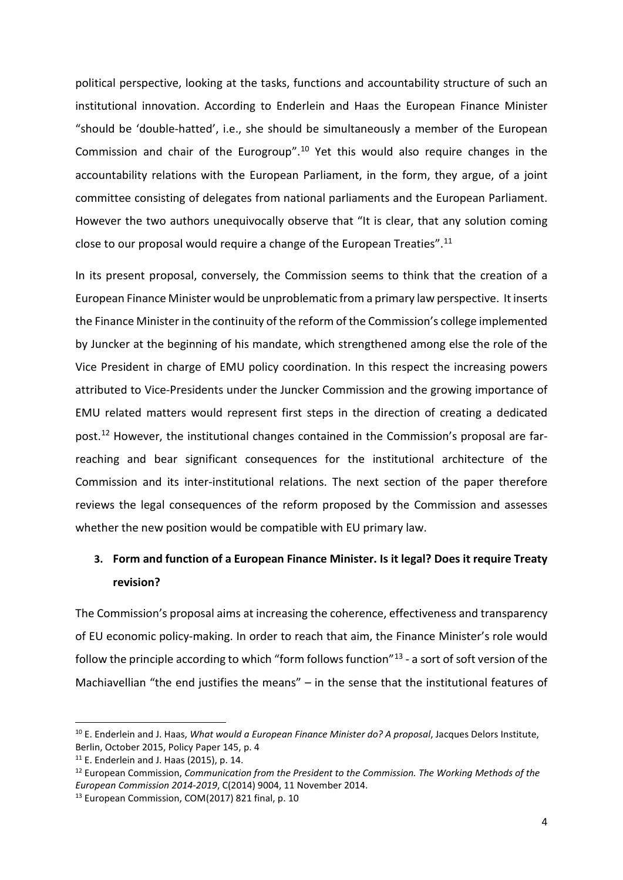political perspective, looking at the tasks, functions and accountability structure of such an institutional innovation. According to Enderlein and Haas the European Finance Minister "should be 'double-hatted', i.e., she should be simultaneously a member of the European Commission and chair of the Eurogroup"[.10](#page-5-0) Yet this would also require changes in the accountability relations with the European Parliament, in the form, they argue, of a joint committee consisting of delegates from national parliaments and the European Parliament. However the two authors unequivocally observe that "It is clear, that any solution coming close to our proposal would require a change of the European Treaties".[11](#page-5-1)

In its present proposal, conversely, the Commission seems to think that the creation of a European Finance Minister would be unproblematic from a primary law perspective. It inserts the Finance Minister in the continuity of the reform of the Commission's college implemented by Juncker at the beginning of his mandate, which strengthened among else the role of the Vice President in charge of EMU policy coordination. In this respect the increasing powers attributed to Vice-Presidents under the Juncker Commission and the growing importance of EMU related matters would represent first steps in the direction of creating a dedicated post.[12](#page-5-2) However, the institutional changes contained in the Commission's proposal are farreaching and bear significant consequences for the institutional architecture of the Commission and its inter-institutional relations. The next section of the paper therefore reviews the legal consequences of the reform proposed by the Commission and assesses whether the new position would be compatible with EU primary law.

### **3. Form and function of a European Finance Minister. Is it legal? Does it require Treaty revision?**

The Commission's proposal aims at increasing the coherence, effectiveness and transparency of EU economic policy-making. In order to reach that aim, the Finance Minister's role would follow the principle according to which "form follows function"[13](#page-5-3) - a sort of soft version of the Machiavellian "the end justifies the means" – in the sense that the institutional features of

<span id="page-5-0"></span> <sup>10</sup> E. Enderlein and J. Haas, *What would a European Finance Minister do? A proposal*, Jacques Delors Institute, Berlin, October 2015, Policy Paper 145, p. 4

<span id="page-5-1"></span><sup>11</sup> E. Enderlein and J. Haas (2015), p. 14.

<span id="page-5-2"></span><sup>12</sup> European Commission, *Communication from the President to the Commission. The Working Methods of the European Commission 2014-2019*, C(2014) 9004, 11 November 2014.

<span id="page-5-3"></span><sup>&</sup>lt;sup>13</sup> European Commission, COM(2017) 821 final, p. 10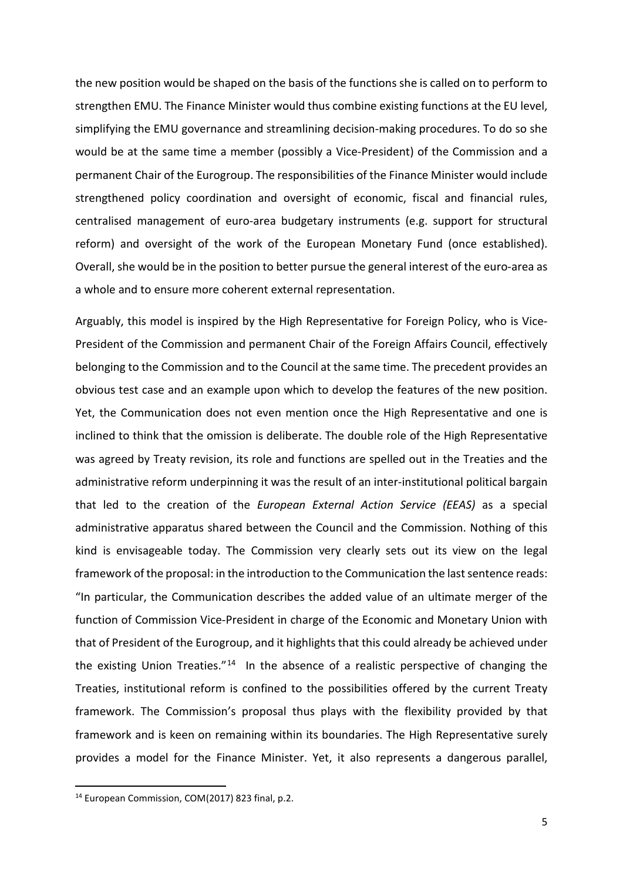the new position would be shaped on the basis of the functions she is called on to perform to strengthen EMU. The Finance Minister would thus combine existing functions at the EU level, simplifying the EMU governance and streamlining decision-making procedures. To do so she would be at the same time a member (possibly a Vice-President) of the Commission and a permanent Chair of the Eurogroup. The responsibilities of the Finance Minister would include strengthened policy coordination and oversight of economic, fiscal and financial rules, centralised management of euro-area budgetary instruments (e.g. support for structural reform) and oversight of the work of the European Monetary Fund (once established). Overall, she would be in the position to better pursue the general interest of the euro-area as a whole and to ensure more coherent external representation.

Arguably, this model is inspired by the High Representative for Foreign Policy, who is Vice-President of the Commission and permanent Chair of the Foreign Affairs Council, effectively belonging to the Commission and to the Council at the same time. The precedent provides an obvious test case and an example upon which to develop the features of the new position. Yet, the Communication does not even mention once the High Representative and one is inclined to think that the omission is deliberate. The double role of the High Representative was agreed by Treaty revision, its role and functions are spelled out in the Treaties and the administrative reform underpinning it was the result of an inter-institutional political bargain that led to the creation of the *European External Action Service (EEAS)* as a special administrative apparatus shared between the Council and the Commission. Nothing of this kind is envisageable today. The Commission very clearly sets out its view on the legal framework of the proposal: in the introduction to the Communication the last sentence reads: "In particular, the Communication describes the added value of an ultimate merger of the function of Commission Vice-President in charge of the Economic and Monetary Union with that of President of the Eurogroup, and it highlights that this could already be achieved under the existing Union Treaties." $14$  In the absence of a realistic perspective of changing the Treaties, institutional reform is confined to the possibilities offered by the current Treaty framework. The Commission's proposal thus plays with the flexibility provided by that framework and is keen on remaining within its boundaries. The High Representative surely provides a model for the Finance Minister. Yet, it also represents a dangerous parallel,

<span id="page-6-0"></span> <sup>14</sup> European Commission, COM(2017) 823 final, p.2.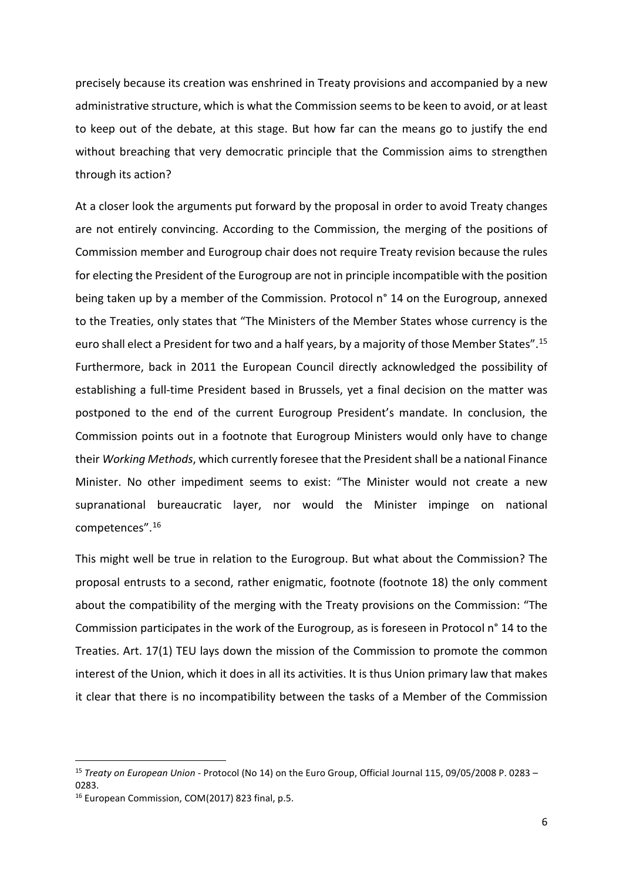precisely because its creation was enshrined in Treaty provisions and accompanied by a new administrative structure, which is what the Commission seems to be keen to avoid, or at least to keep out of the debate, at this stage. But how far can the means go to justify the end without breaching that very democratic principle that the Commission aims to strengthen through its action?

At a closer look the arguments put forward by the proposal in order to avoid Treaty changes are not entirely convincing. According to the Commission, the merging of the positions of Commission member and Eurogroup chair does not require Treaty revision because the rules for electing the President of the Eurogroup are not in principle incompatible with the position being taken up by a member of the Commission. Protocol n° 14 on the Eurogroup, annexed to the Treaties, only states that "The Ministers of the Member States whose currency is the euro shall elect a President for two and a half years, by a majority of those Member States".[15](#page-7-0) Furthermore, back in 2011 the European Council directly acknowledged the possibility of establishing a full-time President based in Brussels, yet a final decision on the matter was postponed to the end of the current Eurogroup President's mandate. In conclusion, the Commission points out in a footnote that Eurogroup Ministers would only have to change their *Working Methods*, which currently foresee that the President shall be a national Finance Minister. No other impediment seems to exist: "The Minister would not create a new supranational bureaucratic layer, nor would the Minister impinge on national competences".[16](#page-7-1)

This might well be true in relation to the Eurogroup. But what about the Commission? The proposal entrusts to a second, rather enigmatic, footnote (footnote 18) the only comment about the compatibility of the merging with the Treaty provisions on the Commission: "The Commission participates in the work of the Eurogroup, as is foreseen in Protocol n° 14 to the Treaties. Art. 17(1) TEU lays down the mission of the Commission to promote the common interest of the Union, which it does in all its activities. It is thus Union primary law that makes it clear that there is no incompatibility between the tasks of a Member of the Commission

<span id="page-7-0"></span> <sup>15</sup> *Treaty on European Union* - Protocol (No 14) on the Euro Group, Official Journal 115, 09/05/2008 P. 0283 – 0283.

<span id="page-7-1"></span><sup>16</sup> European Commission, COM(2017) 823 final, p.5.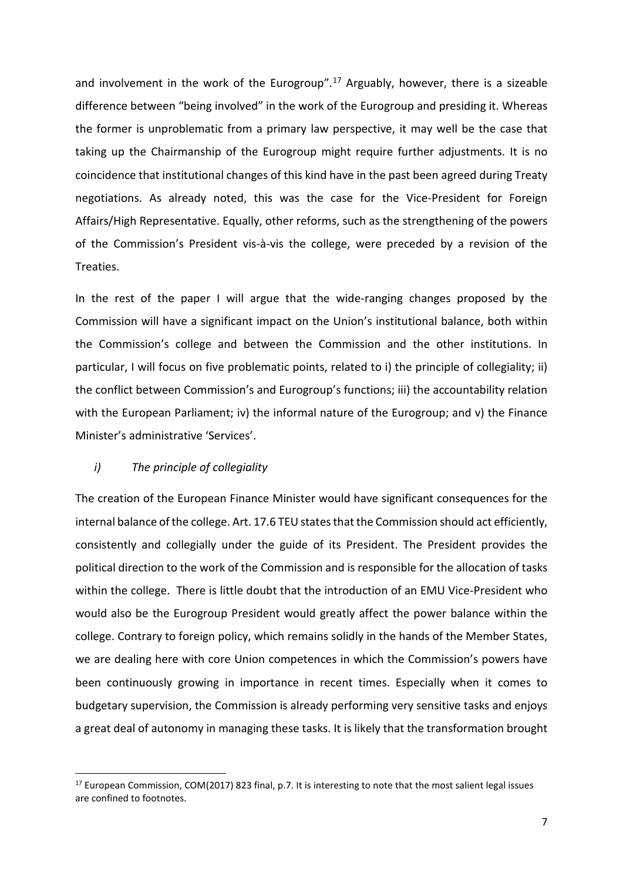and involvement in the work of the Eurogroup".<sup>[17](#page-8-0)</sup> Arguably, however, there is a sizeable difference between "being involved" in the work of the Eurogroup and presiding it. Whereas the former is unproblematic from a primary law perspective, it may well be the case that taking up the Chairmanship of the Eurogroup might require further adjustments. It is no coincidence that institutional changes of this kind have in the past been agreed during Treaty negotiations. As already noted, this was the case for the Vice-President for Foreign Affairs/High Representative. Equally, other reforms, such as the strengthening of the powers of the Commission's President vis-à-vis the college, were preceded by a revision of the Treaties.

In the rest of the paper I will argue that the wide-ranging changes proposed by the Commission will have a significant impact on the Union's institutional balance, both within the Commission's college and between the Commission and the other institutions. In particular, I will focus on five problematic points, related to i) the principle of collegiality; ii) the conflict between Commission's and Eurogroup's functions; iii) the accountability relation with the European Parliament; iv) the informal nature of the Eurogroup; and v) the Finance Minister's administrative 'Services'.

#### *i) The principle of collegiality*

The creation of the European Finance Minister would have significant consequences for the internal balance of the college. Art. 17.6 TEU states that the Commission should act efficiently, consistently and collegially under the guide of its President. The President provides the political direction to the work of the Commission and is responsible for the allocation of tasks within the college. There is little doubt that the introduction of an EMU Vice-President who would also be the Eurogroup President would greatly affect the power balance within the college. Contrary to foreign policy, which remains solidly in the hands of the Member States, we are dealing here with core Union competences in which the Commission's powers have been continuously growing in importance in recent times. Especially when it comes to budgetary supervision, the Commission is already performing very sensitive tasks and enjoys a great deal of autonomy in managing these tasks. It is likely that the transformation brought

<span id="page-8-0"></span><sup>&</sup>lt;sup>17</sup> European Commission, COM(2017) 823 final, p.7. It is interesting to note that the most salient legal issues are confined to footnotes.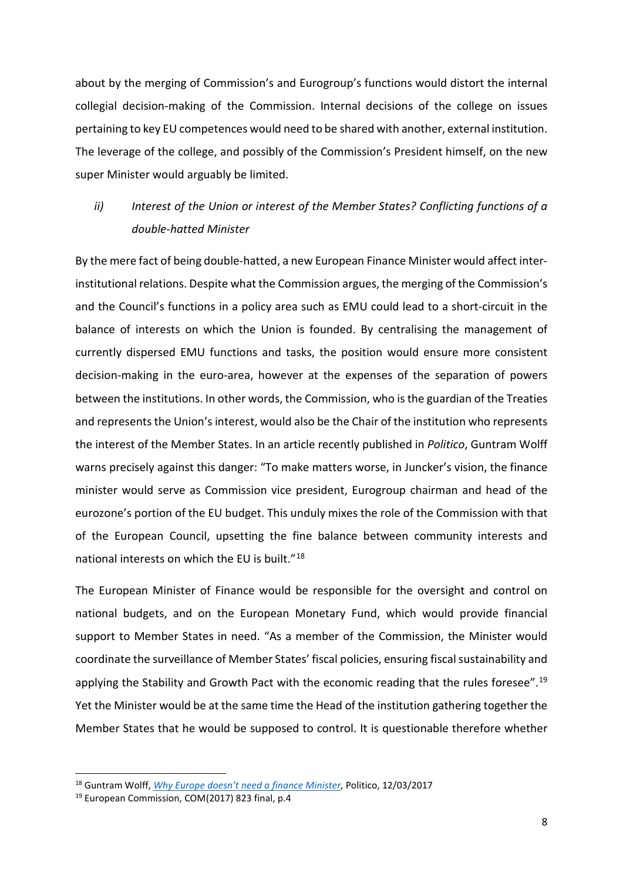about by the merging of Commission's and Eurogroup's functions would distort the internal collegial decision-making of the Commission. Internal decisions of the college on issues pertaining to key EU competences would need to be shared with another, external institution. The leverage of the college, and possibly of the Commission's President himself, on the new super Minister would arguably be limited.

### *ii) Interest of the Union or interest of the Member States? Conflicting functions of a double-hatted Minister*

By the mere fact of being double-hatted, a new European Finance Minister would affect interinstitutional relations. Despite what the Commission argues, the merging of the Commission's and the Council's functions in a policy area such as EMU could lead to a short-circuit in the balance of interests on which the Union is founded. By centralising the management of currently dispersed EMU functions and tasks, the position would ensure more consistent decision-making in the euro-area, however at the expenses of the separation of powers between the institutions. In other words, the Commission, who is the guardian of the Treaties and represents the Union's interest, would also be the Chair of the institution who represents the interest of the Member States. In an article recently published in *Politico*, Guntram Wolff warns precisely against this danger: "To make matters worse, in Juncker's vision, the finance minister would serve as Commission vice president, Eurogroup chairman and head of the eurozone's portion of the EU budget. This unduly mixes the role of the Commission with that of the European Council, upsetting the fine balance between community interests and national interests on which the EU is built."[18](#page-9-0)

The European Minister of Finance would be responsible for the oversight and control on national budgets, and on the European Monetary Fund, which would provide financial support to Member States in need. "As a member of the Commission, the Minister would coordinate the surveillance of Member States' fiscal policies, ensuring fiscal sustainability and applying the Stability and Growth Pact with the economic reading that the rules foresee".<sup>[19](#page-9-1)</sup> Yet the Minister would be at the same time the Head of the institution gathering together the Member States that he would be supposed to control. It is questionable therefore whether

<span id="page-9-0"></span> <sup>18</sup> Guntram Wolff, *[Why Europe doesn't need a finance Minister](https://www.politico.eu/article/european-finance-minister-opinion-why-europe-doesnt-need-a-finance-minister/)*, Politico, 12/03/2017

<span id="page-9-1"></span><sup>19</sup> European Commission, COM(2017) 823 final, p.4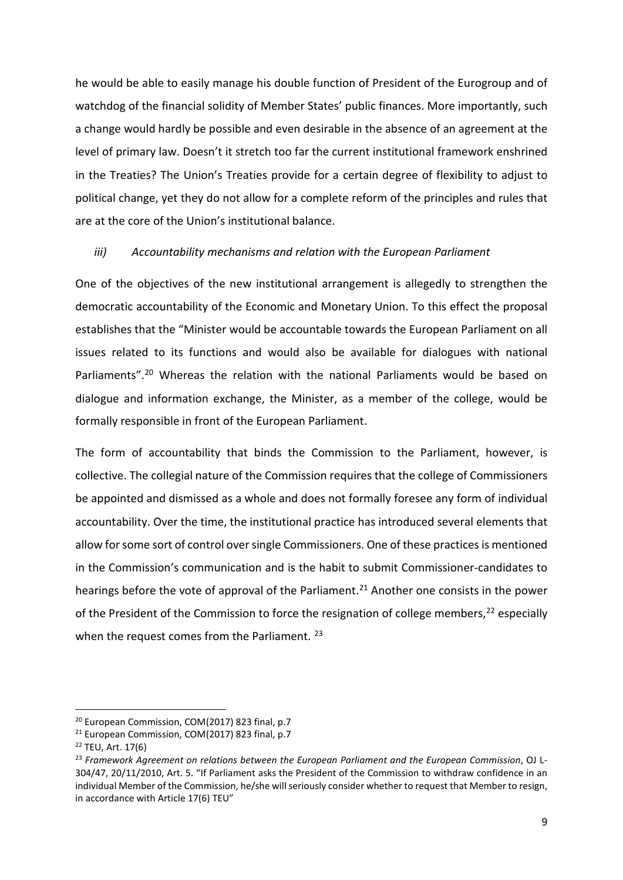he would be able to easily manage his double function of President of the Eurogroup and of watchdog of the financial solidity of Member States' public finances. More importantly, such a change would hardly be possible and even desirable in the absence of an agreement at the level of primary law. Doesn't it stretch too far the current institutional framework enshrined in the Treaties? The Union's Treaties provide for a certain degree of flexibility to adjust to political change, yet they do not allow for a complete reform of the principles and rules that are at the core of the Union's institutional balance.

### *iii) Accountability mechanisms and relation with the European Parliament*

One of the objectives of the new institutional arrangement is allegedly to strengthen the democratic accountability of the Economic and Monetary Union. To this effect the proposal establishes that the "Minister would be accountable towards the European Parliament on all issues related to its functions and would also be available for dialogues with national Parliaments"[.20](#page-10-0) Whereas the relation with the national Parliaments would be based on dialogue and information exchange, the Minister, as a member of the college, would be formally responsible in front of the European Parliament.

The form of accountability that binds the Commission to the Parliament, however, is collective. The collegial nature of the Commission requires that the college of Commissioners be appointed and dismissed as a whole and does not formally foresee any form of individual accountability. Over the time, the institutional practice has introduced several elements that allow for some sort of control oversingle Commissioners. One of these practices is mentioned in the Commission's communication and is the habit to submit Commissioner-candidates to hearings before the vote of approval of the Parliament.<sup>[21](#page-10-1)</sup> Another one consists in the power of the President of the Commission to force the resignation of college members,<sup>[22](#page-10-2)</sup> especially when the request comes from the Parliament.<sup>[23](#page-10-3)</sup>

<span id="page-10-0"></span><sup>&</sup>lt;sup>20</sup> European Commission, COM(2017) 823 final, p.7

<span id="page-10-1"></span><sup>&</sup>lt;sup>21</sup> European Commission, COM(2017) 823 final, p.7

<span id="page-10-2"></span><sup>22</sup> TEU, Art. 17(6)

<span id="page-10-3"></span><sup>23</sup> *Framework Agreement on relations between the European Parliament and the European Commission*, OJ L-304/47, 20/11/2010, Art. 5. "If Parliament asks the President of the Commission to withdraw confidence in an individual Member of the Commission, he/she will seriously consider whether to request that Member to resign, in accordance with Article 17(6) TEU"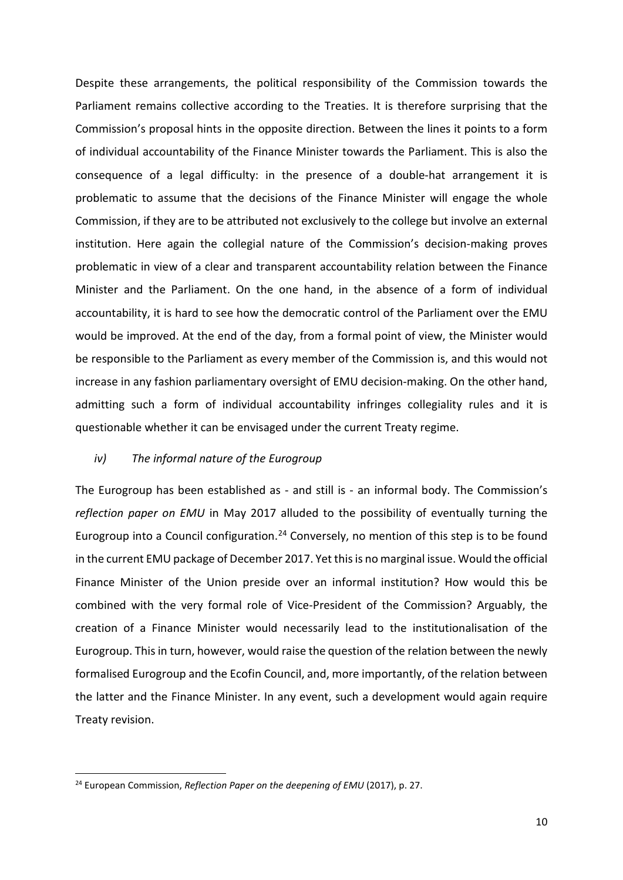Despite these arrangements, the political responsibility of the Commission towards the Parliament remains collective according to the Treaties. It is therefore surprising that the Commission's proposal hints in the opposite direction. Between the lines it points to a form of individual accountability of the Finance Minister towards the Parliament. This is also the consequence of a legal difficulty: in the presence of a double-hat arrangement it is problematic to assume that the decisions of the Finance Minister will engage the whole Commission, if they are to be attributed not exclusively to the college but involve an external institution. Here again the collegial nature of the Commission's decision-making proves problematic in view of a clear and transparent accountability relation between the Finance Minister and the Parliament. On the one hand, in the absence of a form of individual accountability, it is hard to see how the democratic control of the Parliament over the EMU would be improved. At the end of the day, from a formal point of view, the Minister would be responsible to the Parliament as every member of the Commission is, and this would not increase in any fashion parliamentary oversight of EMU decision-making. On the other hand, admitting such a form of individual accountability infringes collegiality rules and it is questionable whether it can be envisaged under the current Treaty regime.

#### *iv) The informal nature of the Eurogroup*

The Eurogroup has been established as - and still is - an informal body. The Commission's *reflection paper on EMU* in May 2017 alluded to the possibility of eventually turning the Eurogroup into a Council configuration.<sup>[24](#page-11-0)</sup> Conversely, no mention of this step is to be found in the current EMU package of December 2017. Yet this is no marginal issue. Would the official Finance Minister of the Union preside over an informal institution? How would this be combined with the very formal role of Vice-President of the Commission? Arguably, the creation of a Finance Minister would necessarily lead to the institutionalisation of the Eurogroup. This in turn, however, would raise the question of the relation between the newly formalised Eurogroup and the Ecofin Council, and, more importantly, of the relation between the latter and the Finance Minister. In any event, such a development would again require Treaty revision.

<span id="page-11-0"></span> <sup>24</sup> European Commission, *Reflection Paper on the deepening of EMU* (2017), p. 27.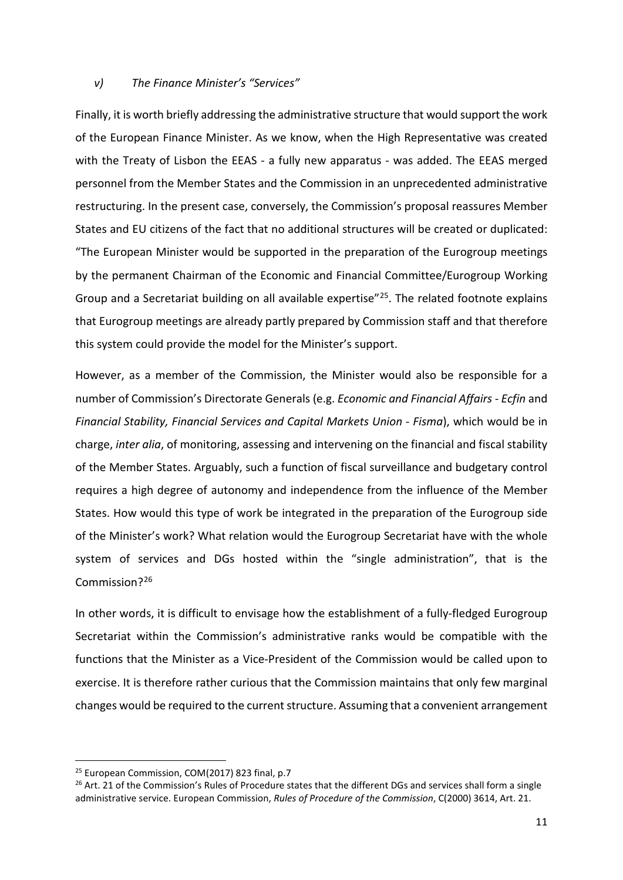### *v) The Finance Minister's "Services"*

Finally, it is worth briefly addressing the administrative structure that would support the work of the European Finance Minister. As we know, when the High Representative was created with the Treaty of Lisbon the EEAS - a fully new apparatus - was added. The EEAS merged personnel from the Member States and the Commission in an unprecedented administrative restructuring. In the present case, conversely, the Commission's proposal reassures Member States and EU citizens of the fact that no additional structures will be created or duplicated: "The European Minister would be supported in the preparation of the Eurogroup meetings by the permanent Chairman of the Economic and Financial Committee/Eurogroup Working Group and a Secretariat building on all available expertise"<sup>[25](#page-12-0)</sup>. The related footnote explains that Eurogroup meetings are already partly prepared by Commission staff and that therefore this system could provide the model for the Minister's support.

However, as a member of the Commission, the Minister would also be responsible for a number of Commission's Directorate Generals (e.g. *Economic and Financial Affairs - Ecfin* and *Financial Stability, Financial Services and Capital Markets Union - Fisma*), which would be in charge, *inter alia*, of monitoring, assessing and intervening on the financial and fiscal stability of the Member States. Arguably, such a function of fiscal surveillance and budgetary control requires a high degree of autonomy and independence from the influence of the Member States. How would this type of work be integrated in the preparation of the Eurogroup side of the Minister's work? What relation would the Eurogroup Secretariat have with the whole system of services and DGs hosted within the "single administration", that is the Commission?[26](#page-12-1)

In other words, it is difficult to envisage how the establishment of a fully-fledged Eurogroup Secretariat within the Commission's administrative ranks would be compatible with the functions that the Minister as a Vice-President of the Commission would be called upon to exercise. It is therefore rather curious that the Commission maintains that only few marginal changes would be required to the current structure. Assuming that a convenient arrangement

<span id="page-12-0"></span><sup>&</sup>lt;sup>25</sup> European Commission, COM(2017) 823 final, p.7

<span id="page-12-1"></span><sup>&</sup>lt;sup>26</sup> Art. 21 of the Commission's Rules of Procedure states that the different DGs and services shall form a single administrative service. European Commission, *Rules of Procedure of the Commission*, C(2000) 3614, Art. 21.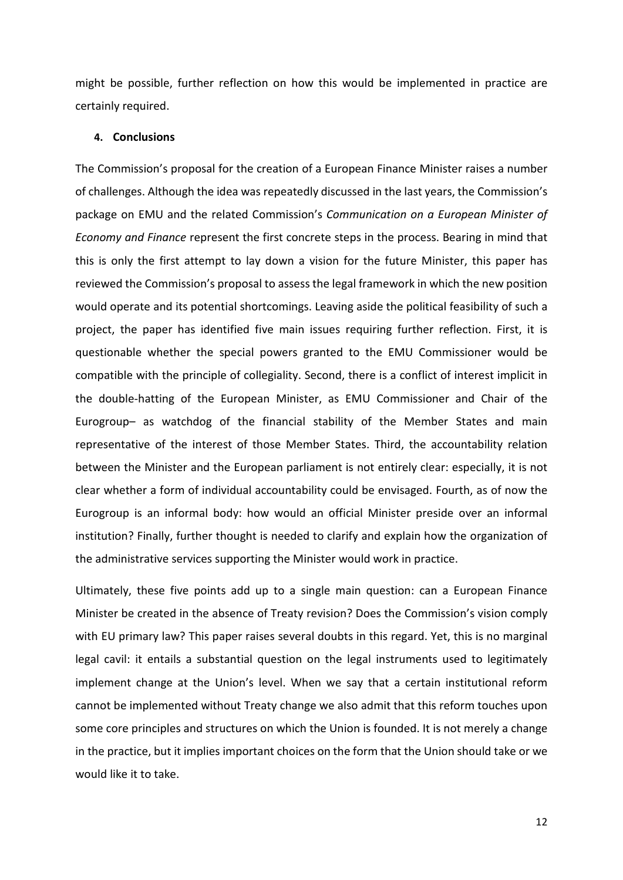might be possible, further reflection on how this would be implemented in practice are certainly required.

#### **4. Conclusions**

The Commission's proposal for the creation of a European Finance Minister raises a number of challenges. Although the idea was repeatedly discussed in the last years, the Commission's package on EMU and the related Commission's *Communication on a European Minister of Economy and Finance* represent the first concrete steps in the process. Bearing in mind that this is only the first attempt to lay down a vision for the future Minister, this paper has reviewed the Commission's proposal to assess the legal framework in which the new position would operate and its potential shortcomings. Leaving aside the political feasibility of such a project, the paper has identified five main issues requiring further reflection. First, it is questionable whether the special powers granted to the EMU Commissioner would be compatible with the principle of collegiality. Second, there is a conflict of interest implicit in the double-hatting of the European Minister, as EMU Commissioner and Chair of the Eurogroup– as watchdog of the financial stability of the Member States and main representative of the interest of those Member States. Third, the accountability relation between the Minister and the European parliament is not entirely clear: especially, it is not clear whether a form of individual accountability could be envisaged. Fourth, as of now the Eurogroup is an informal body: how would an official Minister preside over an informal institution? Finally, further thought is needed to clarify and explain how the organization of the administrative services supporting the Minister would work in practice.

Ultimately, these five points add up to a single main question: can a European Finance Minister be created in the absence of Treaty revision? Does the Commission's vision comply with EU primary law? This paper raises several doubts in this regard. Yet, this is no marginal legal cavil: it entails a substantial question on the legal instruments used to legitimately implement change at the Union's level. When we say that a certain institutional reform cannot be implemented without Treaty change we also admit that this reform touches upon some core principles and structures on which the Union is founded. It is not merely a change in the practice, but it implies important choices on the form that the Union should take or we would like it to take.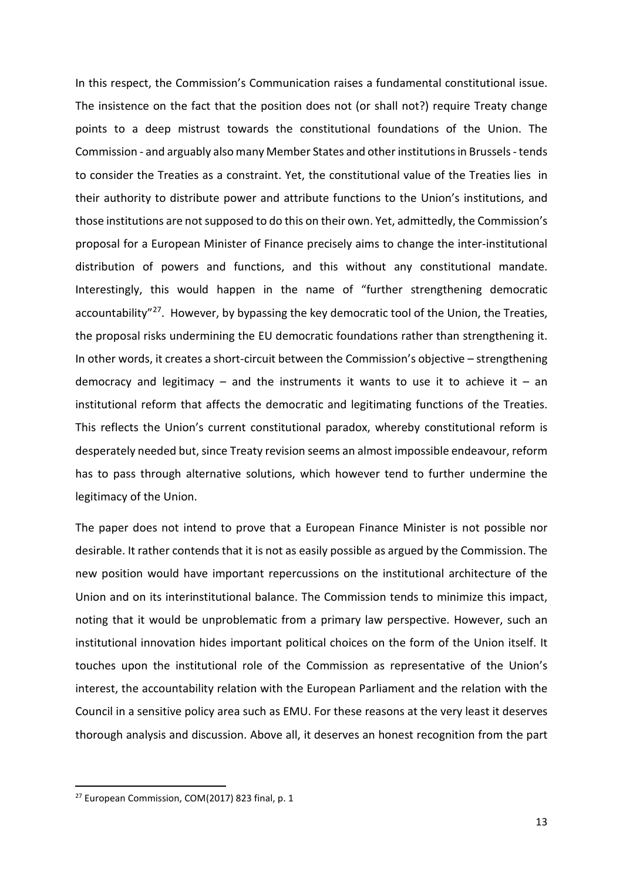In this respect, the Commission's Communication raises a fundamental constitutional issue. The insistence on the fact that the position does not (or shall not?) require Treaty change points to a deep mistrust towards the constitutional foundations of the Union. The Commission - and arguably also many Member States and other institutions in Brussels-tends to consider the Treaties as a constraint. Yet, the constitutional value of the Treaties lies in their authority to distribute power and attribute functions to the Union's institutions, and those institutions are not supposed to do this on their own. Yet, admittedly, the Commission's proposal for a European Minister of Finance precisely aims to change the inter-institutional distribution of powers and functions, and this without any constitutional mandate. Interestingly, this would happen in the name of "further strengthening democratic accountability"<sup>[27](#page-14-0)</sup>. However, by bypassing the key democratic tool of the Union, the Treaties, the proposal risks undermining the EU democratic foundations rather than strengthening it. In other words, it creates a short-circuit between the Commission's objective – strengthening democracy and legitimacy – and the instruments it wants to use it to achieve it – an institutional reform that affects the democratic and legitimating functions of the Treaties. This reflects the Union's current constitutional paradox, whereby constitutional reform is desperately needed but, since Treaty revision seems an almost impossible endeavour, reform has to pass through alternative solutions, which however tend to further undermine the legitimacy of the Union.

The paper does not intend to prove that a European Finance Minister is not possible nor desirable. It rather contends that it is not as easily possible as argued by the Commission. The new position would have important repercussions on the institutional architecture of the Union and on its interinstitutional balance. The Commission tends to minimize this impact, noting that it would be unproblematic from a primary law perspective. However, such an institutional innovation hides important political choices on the form of the Union itself. It touches upon the institutional role of the Commission as representative of the Union's interest, the accountability relation with the European Parliament and the relation with the Council in a sensitive policy area such as EMU. For these reasons at the very least it deserves thorough analysis and discussion. Above all, it deserves an honest recognition from the part

<span id="page-14-0"></span><sup>&</sup>lt;sup>27</sup> European Commission, COM(2017) 823 final, p. 1